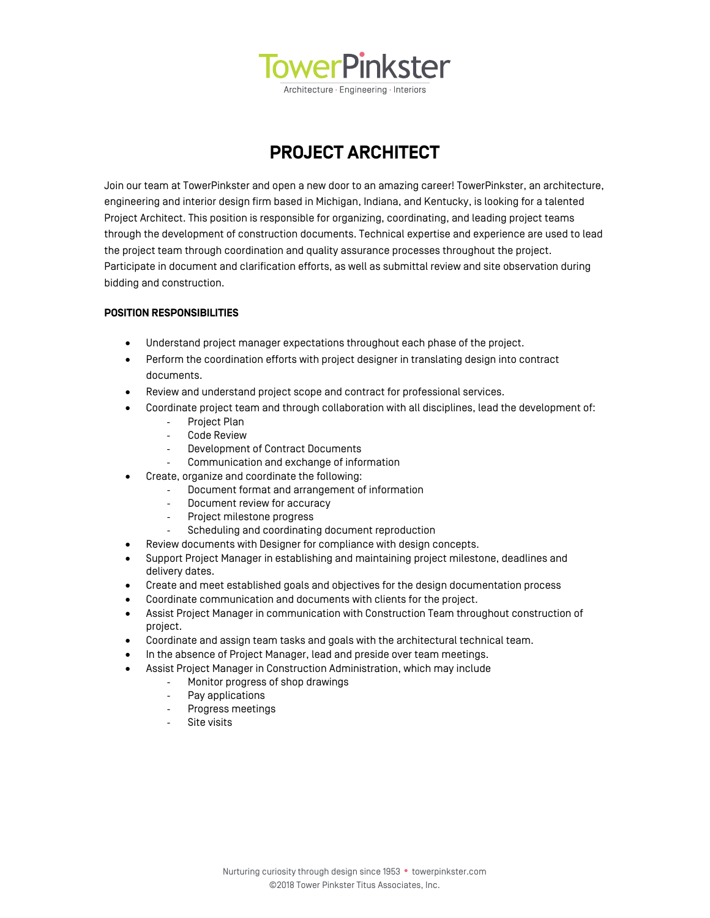

**PROJECT ARCHITECT**

Join our team at TowerPinkster and open a new door to an amazing career! TowerPinkster, an architecture, engineering and interior design firm based in Michigan, Indiana, and Kentucky, is looking for a talented Project Architect. This position is responsible for organizing, coordinating, and leading project teams through the development of construction documents. Technical expertise and experience are used to lead the project team through coordination and quality assurance processes throughout the project. Participate in document and clarification efforts, as well as submittal review and site observation during bidding and construction.

# **POSITION RESPONSIBILITIES**

- Understand project manager expectations throughout each phase of the project.
- Perform the coordination efforts with project designer in translating design into contract documents.
- Review and understand project scope and contract for professional services.
- Coordinate project team and through collaboration with all disciplines, lead the development of:
	- ‐ Project Plan
	- ‐ Code Review
	- ‐ Development of Contract Documents
	- ‐ Communication and exchange of information
- Create, organize and coordinate the following:
	- ‐ Document format and arrangement of information
		- Document review for accuracy
		- ‐ Project milestone progress
		- Scheduling and coordinating document reproduction
- Review documents with Designer for compliance with design concepts.
- Support Project Manager in establishing and maintaining project milestone, deadlines and delivery dates.
- Create and meet established goals and objectives for the design documentation process
- Coordinate communication and documents with clients for the project.
- Assist Project Manager in communication with Construction Team throughout construction of project.
- Coordinate and assign team tasks and goals with the architectural technical team.
- In the absence of Project Manager, lead and preside over team meetings.
- Assist Project Manager in Construction Administration, which may include
	- ‐ Monitor progress of shop drawings
		- ‐ Pay applications
		- ‐ Progress meetings
		- Site visits